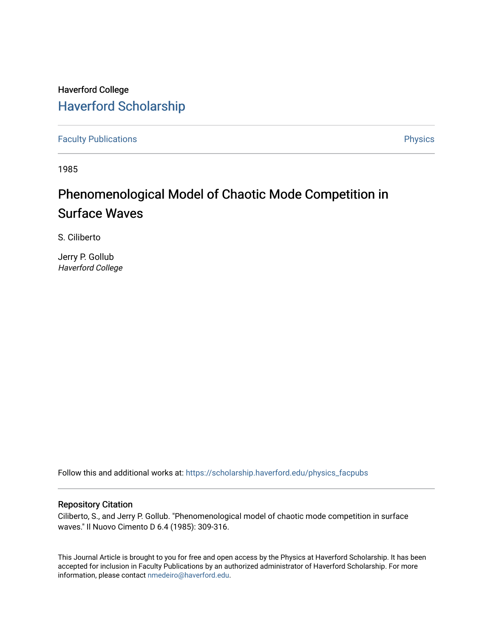## Haverford College [Haverford Scholarship](https://scholarship.haverford.edu/)

[Faculty Publications](https://scholarship.haverford.edu/physics_facpubs) **Physics** 

1985

# Phenomenological Model of Chaotic Mode Competition in Surface Waves

S. Ciliberto

Jerry P. Gollub Haverford College

Follow this and additional works at: [https://scholarship.haverford.edu/physics\\_facpubs](https://scholarship.haverford.edu/physics_facpubs?utm_source=scholarship.haverford.edu%2Fphysics_facpubs%2F262&utm_medium=PDF&utm_campaign=PDFCoverPages) 

#### Repository Citation

Ciliberto, S., and Jerry P. Gollub. "Phenomenological model of chaotic mode competition in surface waves." Il Nuovo Cimento D 6.4 (1985): 309-316.

This Journal Article is brought to you for free and open access by the Physics at Haverford Scholarship. It has been accepted for inclusion in Faculty Publications by an authorized administrator of Haverford Scholarship. For more information, please contact [nmedeiro@haverford.edu.](mailto:nmedeiro@haverford.edu)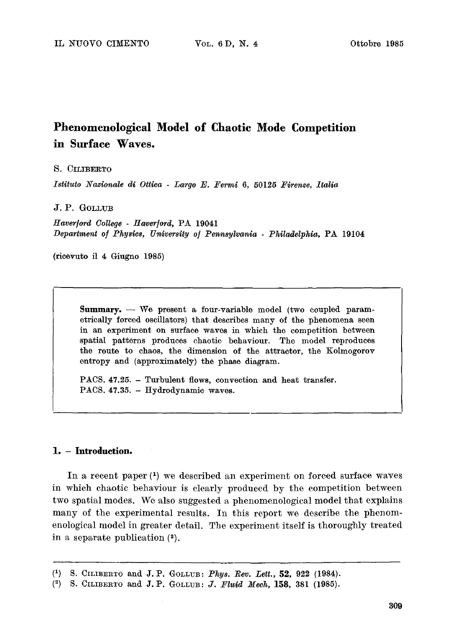### **Phenomenological Model of Chaotic Mode Competition in Surface Waves.**

#### S. CILIBERTO

*Istituto Nazionale di Ottica - Largo E. Fermi 6, 50125 Firenze, Italia* 

#### J.P. GOLLUB

*Hayer/oral College - Hayer]oral,* PA 19041 *Department o] Physics, University o] Pennsylvania - Philadelphia,* PA 19104

(rieevuto il 4 Giugno 1985)

**Summary.** -- We present a four-variable model (two coupled parametrically forced oscillators) that describes many of the phenomena seen in an experiment on surface waves in which the competition between spatial patterns produces chaotic behaviour. The model reproduces the route to chaos, the dimension of the attractor, the Kolmogorov entropy and (approximately) the phase diagram.

PACS. 47.25. - Turbulent flows, convection and heat transfer. PACS. 47.35. - Hydrodynamic waves.

#### **1. - Introduction.**

In a recent paper (1) we described an experiment on forced surface waves in which chaotic behaviour is clearly produced by the competition between two spatial modes. We also suggested a phenomenological model that explains many of the experimental results. In this report we describe the phenomenological model in greater detail. The experiment itself is thoroughly treated in a separate publication (2).

**<sup>(</sup>x) S.** CILIBERTO and **J.P. GOLL~B:** *Phys. Bey. T~ett.,* **52,** 922 (1984).

<sup>&</sup>lt;sup>(2)</sup> S. CILIBERTO and J.P. GOLLUB: *J. Fluid Mech*, **158**, 381 (1985).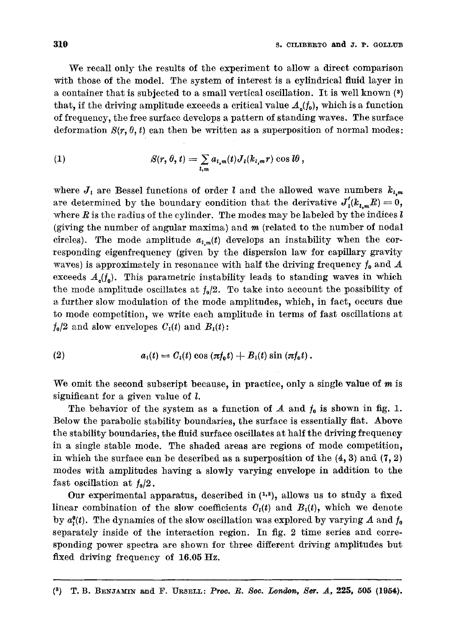We recall only the results of the experiment to allow a direct comparison with those of the model. The system of interest is a cylindrical fluid layer in a container that is subjected to a small vertical oscillation. It is well known (s) that, if the driving amplitude exceeds a critical value  $A_{\rho}(f_0)$ , which is a function of frequency, the free surface develops a pattern of standing waves. The surface deformation  $S(r, \theta, t)$  can then be written as a superposition of normal modes:

(1) 
$$
S(r, \theta, t) = \sum_{l,m} a_{l,m}(t) J_l(k_{l,m}r) \cos l\theta,
$$

where  $J_i$  are Bessel functions of order  $l$  and the allowed wave numbers  $k_{l,m}$ are determined by the boundary condition that the derivative  $J'_i(k_{i,m}R)=0$ , where  $R$  is the radius of the cylinder. The modes may be labeled by the indices  $l$ (giving the number of angular maxima) and  $m$  (related to the number of nodal circles). The mode amplitude  $a_{l,m}(t)$  develops an instability when the corresponding eigenfrequency (given by the dispersion law for capillary gravity waves) is approximately in resonance with half the driving frequency  $f_0$  and  $A$ exceeds  $A_{\rho}(f_{0})$ . This parametric instability leads to standing waves in which the mode amplitude oscillates at  $f_0/2$ . To take into account the possibility of a further slow modulation of the mode amplitudes, which, in fact, occurs due to mode competition, we write each amplitude in terms of fast oscillations at  $f_0/2$  and slow envelopes  $C_i(t)$  and  $B_i(t)$ :

(2) 
$$
a_i(t) = C_i(t) \cos (\pi f_0 t) + B_i(t) \sin (\pi f_0 t).
$$

We omit the second subscript because, in practice, only a single value of  $m$  is significant for a given value of l.

The behavior of the system as a function of  $A$  and  $f_0$  is shown in fig. 1. Below the parabolic stability boundaries, the surface is essentially fiat. Above the stability boundaries, the fluid surface oscillates at half the driving frequency in a single stable mode. The shaded areas are regions of mode competition, in which the surface can be described as a superposition of the  $(4, 3)$  and  $(7, 2)$ modes with amplitudes having a slowly varying envelope in addition to the fast oscillation at  $f_0/2$ .

Our experimental apparatus, described in  $(1, 2)$ , allows us to study a fixed linear combination of the slow coefficients  $C<sub>t</sub>(t)$  and  $B<sub>t</sub>(t)$ , which we denote by  $a_{i}^{0}(t)$ . The dynamics of the slow oscillation was explored by varying A and  $f_{0}$ separately inside of the interaction region. In fig. 2 time series and corresponding power spectra are shown for three different driving amplitudes but fixed driving frequency of 16.05 Hz.

**(3) T.B. BENJAMIN and F. URS~LT.:** *PRO0. R. 8or London, Set. A,* **225, 505 (1954).**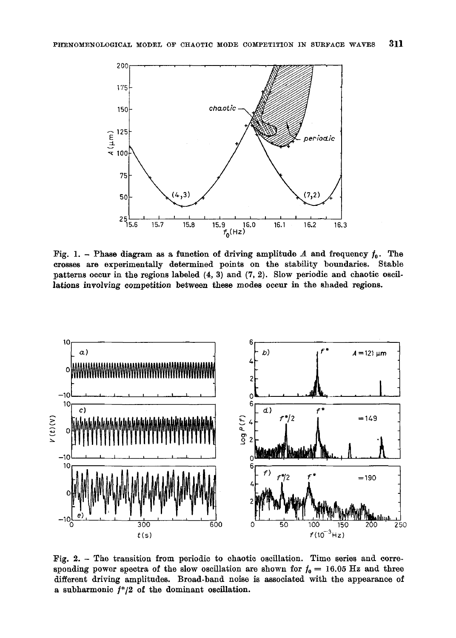

Fig. 1. - Phase diagram as a function of driving amplitude A and frequency  $f_0$ . The crosses are experimentally determined points on the stability boundaries. Stable patterns occur in the regions labeled (4, 3) and (7, 2). Slow periodic and chaotic oscillations involving competition between these modes occur in the shaded regions.



Fig. 2. - The transition from periodic to chaotic oscillation. Time series and corresponding power spectra of the slow oscillation are shown for  $f_0 = 16.05$  Hz and three different driving amplitudes. Broad-band noise is associated with the appearance of a subharmonic  $f^*/2$  of the dominant oscillation.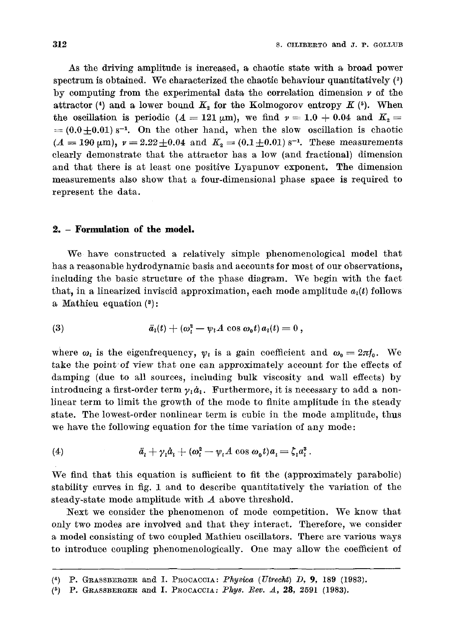As the driving amplitude is increased, a chaotic state with a broad power spectrum is obtained. We characterized the chaotic behaviour quantitatively  $(2)$ by computing from the experimental data the correlation dimension  $\nu$  of the attractor (4) and a lower bound  $K_2$  for the Kolmogorov entropy  $K$  (5). When the oscillation is periodic ( $A = 121 \mu m$ ), we find  $\nu = 1.0 + 0.04$  and  $K_2 =$  $=(0.0+0.01)$  s<sup>-1</sup>. On the other hand, when the slow oscillation is chaotic  $(A = 190 \text{ }\mu\text{m})$ ,  $\nu = 2.22 \pm 0.04$  and  $K_a = (0.1 \pm 0.01) \text{ s}^{-1}$ . These measurements clearly demonstrate that the attractor has a low (and fractional) dimension and that there is at least one positive Lyapunov exponent. The dimension measurements also show that a four-dimensional phase space is required to represent the data.

#### **2. - Formulation of the model.**

We have constructed a relatively simple phenomenological model that has a reasonable hydrodynamic basis and accounts for most of our observations, including the basic structure of the phase diagram. We begin with the fact that, in a linearized inviscid approximation, each mode amplitude  $a_i(t)$  follows a Mathieu equation (8):

$$
\ddot{a}_i(t) + (\omega_i^2 - \psi_i A \cos \omega_0 t) a_i(t) = 0,
$$

where  $\omega_i$  is the eigenfrequency,  $\psi_i$  is a gain coefficient and  $\omega_0 = 2\pi f_0$ . We take the point of view that one can approximately account for the effects of damping (due to all sources, including bulk viscosity and wall effects) by introducing a first-order term  $\gamma_i \dot{a}_i$ . Furthermore, it is necessary to add a nonlinear term to limit the growth of the mode to finite amplitude in the steady state. The lowest-order nonlinear term is cubic in the mode amplitude, thus we have the following equation for the time variation of any mode:

$$
(4) \qquad \ddot{a}_i + \gamma_i \dot{a}_i + (\omega_i^2 - \psi_i A \cos \omega_0 t) a_i = \zeta_i a_i^3.
$$

We find that this equation is sufficient to fit the (approximately parabolic) stability curves in fig. 1 and to describe quantitatively the variation of the steady-state mode amplitude with A above threshold.

Next we consider the phenomenon of mode competition. We know that only two modes are involved and that they interact. Therefore, we consider a model consisting of two coupled Mathieu oscillators. There are various ways to introduce coupling phenomenologically. One may allow the coefficient of

 $(4)$  P. GRASSBERGER and I. PROCACCIA: *Physica (Utrecht) D*, 9, 189 (1983).

 $(5)$  P. GRASSBERGER and I. PROCACCIA: *Phys. Rev. A*, 28, 2591 (1983).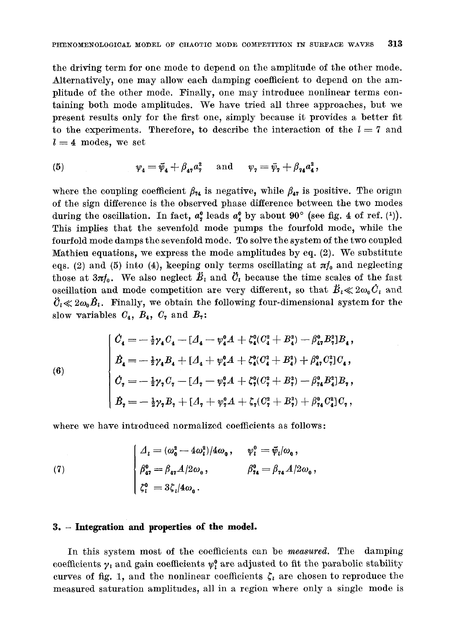the driving term for one mode to depend on the amplitude of the other mode. Alternatively, one may allow each damping coefficient to depend on the amplitude of the other mode. Finally, one may introduce nonlinear terms containing both mode amplitudes. We have tried all three approaches, but we present results only for the first one, simply because it provides a better fit to the experiments. Therefore, to describe the interaction of the  $l = 7$  and  $l = 4$  modes, we set

(5) 
$$
\psi_4 = \bar{\psi}_4 + \beta_{47} a_7^2
$$
 and  $\psi_7 = \bar{\psi}_7 + \beta_{74} a_4^2$ ,

where the coupling coefficient  $\beta_{74}$  is negative, while  $\beta_{47}$  is positive. The origin of the sign difference is the observed phase difference between the two modes during the oscillation. In fact,  $a_{\alpha}^0$  leads  $a_{\alpha}^0$  by about  $90^{\circ}$  (see fig. 4 of ref. (1)). This implies that the sevenfold mode pumps the fourfold mode, while the fourfold mode damps the sevenfold mode. To solve the system of the two coupled Mathieu equations, we express the mode amplitudes by eq.  $(2)$ . We substitute eqs. (2) and (5) into (4), keeping only terms oscillating at  $\pi f_0$  and neglecting those at  $3\pi f_0$ . We also neglect  $\ddot{B}_i$  and  $\ddot{C}_i$  because the time scales of the fast oscillation and mode competition are very different, so that  $\ddot{B}_i \ll 2\omega_0 \dot{C}_i$  and  $\ddot{\mathcal{C}}_i \ll 2\omega_0 \dot{\mathcal{B}}_i$ . Finally, we obtain the following four-dimensional system for the slow variables  $C_4$ ,  $B_4$ ,  $C_7$  and  $B_7$ :

$$
\begin{cases} \n\dot{C}_4 = -\frac{1}{2}\gamma_4 C_4 - [A_4 - \varphi_4^0 A + \zeta_4^0 (C_4^2 + B_4^2) - \beta_{47}^0 B_7^2]B_4, \\ \n\dot{B}_4 = -\frac{1}{2}\gamma_4 B_4 + [A_4 + \varphi_4^0 A + \zeta_4^0 (C_4^2 + B_4^2) + \beta_{47}^0 C_7^2]C_4, \\ \n\dot{C}_7 = -\frac{1}{2}\gamma_7 C_7 - [A_7 - \varphi_7^0 A + \zeta_7^0 (C_7^2 + B_7^2) - \beta_{74}^0 B_4^2]B_7, \\ \n\dot{B}_7 = -\frac{1}{2}\gamma_7 B_7 + [A_7 + \varphi_7^0 A + \zeta_7 (C_7^2 + B_7^2) + \beta_{74}^0 C_4^2]C_7, \n\end{cases}
$$

where we have introduced normalized coefficients as follows:

(7) 
$$
\begin{cases} \n\Delta_{i} = (\omega_{0}^{2} - 4\omega_{i}^{2})/4\omega_{0}, & \psi_{i}^{0} = \bar{\psi}_{i}/\omega_{0}, \\
\beta_{47}^{0} = \beta_{47}A/2\omega_{0}, & \beta_{74}^{0} = \beta_{74}A/2\omega_{0}, \\
\zeta_{i}^{0} = 3\zeta_{i}/4\omega_{0}. & \n\end{cases}
$$

#### **3. - Integration and properties of the model.**

**(6)** 

In this system most of the coefficients can be *measured*. The damping coefficients  $\gamma_i$  and gain coefficients  $\psi_i^0$  are adjusted to fit the parabolic stability curves of fig. 1, and the nonlinear coefficients  $\zeta_i$  are chosen to reproduce the measured saturation amplitudes, all in a region where only a single mode is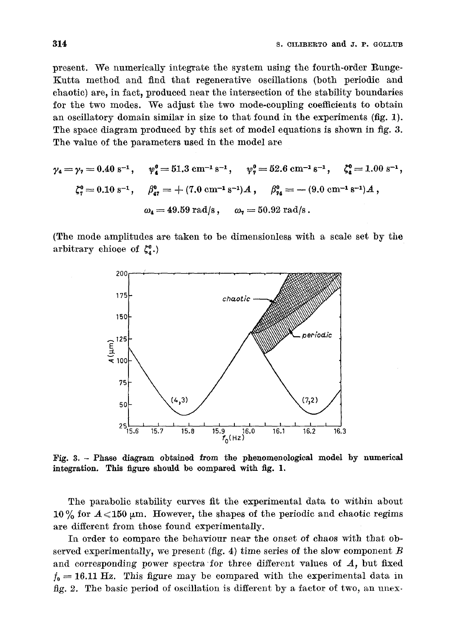present. We numerically integrate the system using the fourth-order Runge-Kutta method and find that regenerative oscillations (both periodic and chaotic) are, in fact, produced near the intersection of the stability boundaries for the two modes. We adjust the two mode-coupling coefficients to obtain an oscillatory domain similar in size to that found in the experiments (fig. 1). The space diagram produced by this set of model equations is shown in fig. 3. The value of the parameters used in the model are

$$
\gamma_4 = \gamma_7 = 0.40 \text{ s}^{-1}, \quad \psi_4^0 = 51.3 \text{ cm}^{-1} \text{ s}^{-1}, \quad \psi_7^0 = 52.6 \text{ cm}^{-1} \text{ s}^{-1}, \quad \zeta_4^0 = 1.00 \text{ s}^{-1},
$$
  

$$
\zeta_7^0 = 0.10 \text{ s}^{-1}, \quad \beta_{47}^0 = +(7.0 \text{ cm}^{-1} \text{ s}^{-1})A, \quad \beta_{74}^0 = -(9.0 \text{ cm}^{-1} \text{ s}^{-1})A,
$$
  

$$
\omega_4 = 49.59 \text{ rad/s}, \quad \omega_7 = 50.92 \text{ rad/s}.
$$

(The mode amplitudes are taken to be dimensionless with a scale set by the arbitrary chioce of  $\zeta_4^0$ .)



Fig. 3. - Phase diagram obtained from the phenomenologieal model by numerical integration. This figure should be compared with fig. 1.

The parabolic stability curves fit the experimental data to within about 10 % for  $A \le 150 \mu m$ . However, the shapes of the periodic and chaotic regims are different from those found experimentally.

In order to compare the behaviour near the onset of *chaos* with that observed experimentally, we present  $(fig. 4)$  time series of the slow component  $B$ and corresponding power spectra for three different values of  $A$ , but fixed  $f_0=16.11$  Hz. This figure may be compared with the experimental data in fig. 2. The basic period of oscillation is different by a factor of two, an unex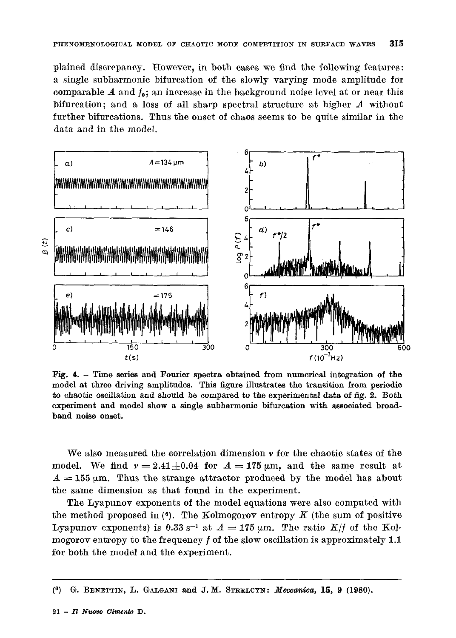plained discrepancy. However, in both cases we find the following features: a single subharmonic bifurcation of the slowly varying mode amplitude for comparable A and  $f_0$ ; an increase in the background noise level at or near this bifurcation; and a loss of all sharp spectral structure at higher  $A$  without further bifurcations. Thus the onset of chaos seems to be quite similar in the data and in the model.



Fig. 4. - Time **series and Fourier spectra obtained** from numerical integration **of the model at throe driving amplitudes.** This figure illustrates the transition from periodic to chaotic oscillation and should be compared to **the experimental** data of fig. 2. Both **experiment and model show a single** subharmonio bifurcation **with associated broadband noise onset.** 

We also measured the correlation dimension  $\nu$  for the chaotic states of the model. We find  $v = 2.41 \pm 0.04$  for  $A = 175 \mu m$ , and the same result at  $A = 155 \mu$ m. Thus the strange attractor produced by the model has about the same dimension as that found in the experiment.

The Lyapunov exponents of the model equations were also computed with the method proposed in  $(6)$ . The Kolmogorov entropy K (the sum of positive Lyapunov exponents) is 0.33 s<sup>-1</sup> at  $A = 175 \mu m$ . The ratio *K/f* of the Kolmogorov entropy to the frequency  $f$  of the slow oscillation is approximately 1.1 for both the model and the experiment.

 $(6)$  G. BENETTIN, L. GALGANI and J.M. STRELCYN: *Meccanica*, 15, 9 (1980).